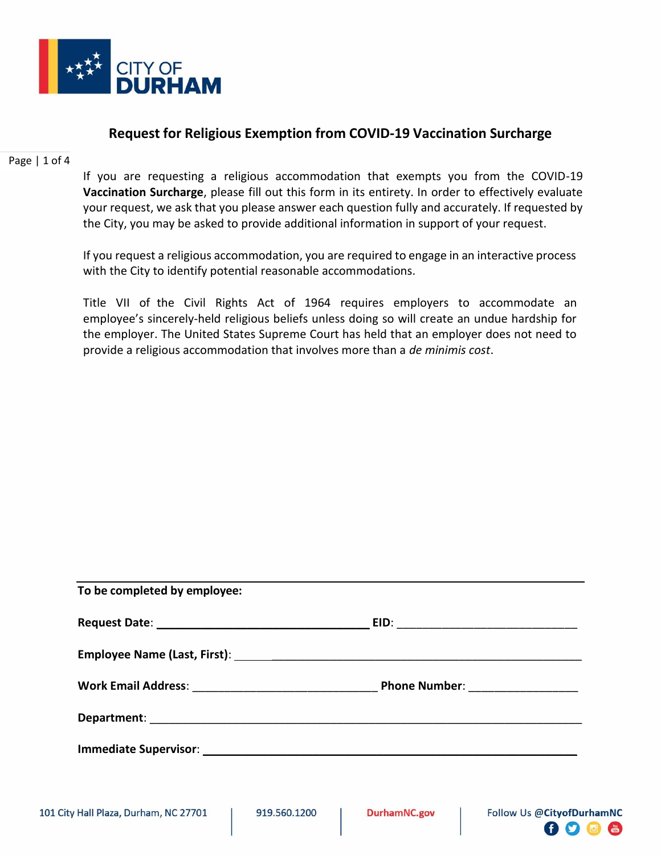

## **Request for Religious Exemption from COVID-19 Vaccination Surcharge**

Page | 1 of 4

If you are requesting a religious accommodation that exempts you from the COVID-19 **Vaccination Surcharge**, please fill out this form in its entirety. In order to effectively evaluate your request, we ask that you please answer each question fully and accurately. If requested by the City, you may be asked to provide additional information in support of your request.

If you request a religious accommodation, you are required to engage in an interactive process with the City to identify potential reasonable accommodations.

Title VII of the Civil Rights Act of 1964 requires employers to accommodate an employee's sincerely-held religious beliefs unless doing so will create an undue hardship for the employer. The United States Supreme Court has held that an employer does not need to provide a religious accommodation that involves more than a *de minimis cost*.

| To be completed by employee:                                                                                                            |                                   |
|-----------------------------------------------------------------------------------------------------------------------------------------|-----------------------------------|
|                                                                                                                                         |                                   |
|                                                                                                                                         |                                   |
|                                                                                                                                         | Phone Number: ___________________ |
|                                                                                                                                         |                                   |
| Immediate Supervisor: National Community of the Supervisor: National Community of the Supervisor: National Community of the Supervisor: |                                   |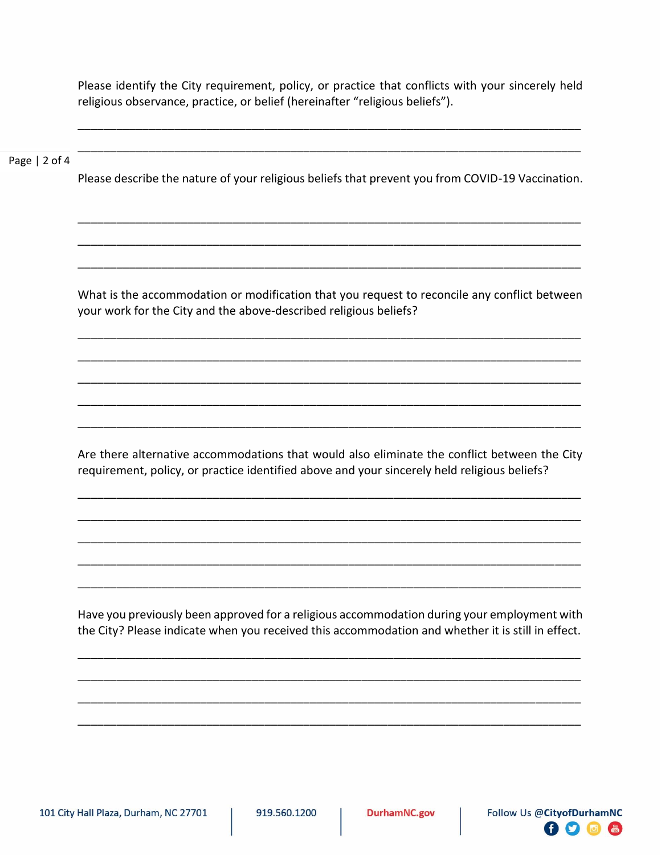Please identify the City requirement, policy, or practice that conflicts with your sincerely held religious observance, practice, or belief (hereinafter "religious beliefs").

\_\_\_\_\_\_\_\_\_\_\_\_\_\_\_\_\_\_\_\_\_\_\_\_\_\_\_\_\_\_\_\_\_\_\_\_\_\_\_\_\_\_\_\_\_\_\_\_\_\_\_\_\_\_\_\_\_\_\_\_\_\_\_\_\_\_\_\_\_\_\_\_\_\_\_\_\_\_

\_\_\_\_\_\_\_\_\_\_\_\_\_\_\_\_\_\_\_\_\_\_\_\_\_\_\_\_\_\_\_\_\_\_\_\_\_\_\_\_\_\_\_\_\_\_\_\_\_\_\_\_\_\_\_\_\_\_\_\_\_\_\_\_\_\_\_\_\_\_\_\_\_\_\_\_\_\_

## Page | 2 of 4

Please describe the nature of your religious beliefs that prevent you from COVID-19 Vaccination.

\_\_\_\_\_\_\_\_\_\_\_\_\_\_\_\_\_\_\_\_\_\_\_\_\_\_\_\_\_\_\_\_\_\_\_\_\_\_\_\_\_\_\_\_\_\_\_\_\_\_\_\_\_\_\_\_\_\_\_\_\_\_\_\_\_\_\_\_\_\_\_\_\_\_\_\_\_\_

\_\_\_\_\_\_\_\_\_\_\_\_\_\_\_\_\_\_\_\_\_\_\_\_\_\_\_\_\_\_\_\_\_\_\_\_\_\_\_\_\_\_\_\_\_\_\_\_\_\_\_\_\_\_\_\_\_\_\_\_\_\_\_\_\_\_\_\_\_\_\_\_\_\_\_\_\_\_

\_\_\_\_\_\_\_\_\_\_\_\_\_\_\_\_\_\_\_\_\_\_\_\_\_\_\_\_\_\_\_\_\_\_\_\_\_\_\_\_\_\_\_\_\_\_\_\_\_\_\_\_\_\_\_\_\_\_\_\_\_\_\_\_\_\_\_\_\_\_\_\_\_\_\_\_\_\_

What is the accommodation or modification that you request to reconcile any conflict between your work for the City and the above-described religious beliefs?

\_\_\_\_\_\_\_\_\_\_\_\_\_\_\_\_\_\_\_\_\_\_\_\_\_\_\_\_\_\_\_\_\_\_\_\_\_\_\_\_\_\_\_\_\_\_\_\_\_\_\_\_\_\_\_\_\_\_\_\_\_\_\_\_\_\_\_\_\_\_\_\_\_\_\_\_\_\_

\_\_\_\_\_\_\_\_\_\_\_\_\_\_\_\_\_\_\_\_\_\_\_\_\_\_\_\_\_\_\_\_\_\_\_\_\_\_\_\_\_\_\_\_\_\_\_\_\_\_\_\_\_\_\_\_\_\_\_\_\_\_\_\_\_\_\_\_\_\_\_\_\_\_\_\_\_\_

\_\_\_\_\_\_\_\_\_\_\_\_\_\_\_\_\_\_\_\_\_\_\_\_\_\_\_\_\_\_\_\_\_\_\_\_\_\_\_\_\_\_\_\_\_\_\_\_\_\_\_\_\_\_\_\_\_\_\_\_\_\_\_\_\_\_\_\_\_\_\_\_\_\_\_\_\_\_

\_\_\_\_\_\_\_\_\_\_\_\_\_\_\_\_\_\_\_\_\_\_\_\_\_\_\_\_\_\_\_\_\_\_\_\_\_\_\_\_\_\_\_\_\_\_\_\_\_\_\_\_\_\_\_\_\_\_\_\_\_\_\_\_\_\_\_\_\_\_\_\_\_\_\_\_\_\_

\_\_\_\_\_\_\_\_\_\_\_\_\_\_\_\_\_\_\_\_\_\_\_\_\_\_\_\_\_\_\_\_\_\_\_\_\_\_\_\_\_\_\_\_\_\_\_\_\_\_\_\_\_\_\_\_\_\_\_\_\_\_\_\_\_\_\_\_\_\_\_\_\_\_\_\_\_\_

Are there alternative accommodations that would also eliminate the conflict between the City requirement, policy, or practice identified above and your sincerely held religious beliefs?

\_\_\_\_\_\_\_\_\_\_\_\_\_\_\_\_\_\_\_\_\_\_\_\_\_\_\_\_\_\_\_\_\_\_\_\_\_\_\_\_\_\_\_\_\_\_\_\_\_\_\_\_\_\_\_\_\_\_\_\_\_\_\_\_\_\_\_\_\_\_\_\_\_\_\_\_\_\_

\_\_\_\_\_\_\_\_\_\_\_\_\_\_\_\_\_\_\_\_\_\_\_\_\_\_\_\_\_\_\_\_\_\_\_\_\_\_\_\_\_\_\_\_\_\_\_\_\_\_\_\_\_\_\_\_\_\_\_\_\_\_\_\_\_\_\_\_\_\_\_\_\_\_\_\_\_\_

\_\_\_\_\_\_\_\_\_\_\_\_\_\_\_\_\_\_\_\_\_\_\_\_\_\_\_\_\_\_\_\_\_\_\_\_\_\_\_\_\_\_\_\_\_\_\_\_\_\_\_\_\_\_\_\_\_\_\_\_\_\_\_\_\_\_\_\_\_\_\_\_\_\_\_\_\_\_

\_\_\_\_\_\_\_\_\_\_\_\_\_\_\_\_\_\_\_\_\_\_\_\_\_\_\_\_\_\_\_\_\_\_\_\_\_\_\_\_\_\_\_\_\_\_\_\_\_\_\_\_\_\_\_\_\_\_\_\_\_\_\_\_\_\_\_\_\_\_\_\_\_\_\_\_\_\_

\_\_\_\_\_\_\_\_\_\_\_\_\_\_\_\_\_\_\_\_\_\_\_\_\_\_\_\_\_\_\_\_\_\_\_\_\_\_\_\_\_\_\_\_\_\_\_\_\_\_\_\_\_\_\_\_\_\_\_\_\_\_\_\_\_\_\_\_\_\_\_\_\_\_\_\_\_\_

Have you previously been approved for a religious accommodation during your employment with the City? Please indicate when you received this accommodation and whether it is still in effect.

\_\_\_\_\_\_\_\_\_\_\_\_\_\_\_\_\_\_\_\_\_\_\_\_\_\_\_\_\_\_\_\_\_\_\_\_\_\_\_\_\_\_\_\_\_\_\_\_\_\_\_\_\_\_\_\_\_\_\_\_\_\_\_\_\_\_\_\_\_\_\_\_\_\_\_\_\_\_

\_\_\_\_\_\_\_\_\_\_\_\_\_\_\_\_\_\_\_\_\_\_\_\_\_\_\_\_\_\_\_\_\_\_\_\_\_\_\_\_\_\_\_\_\_\_\_\_\_\_\_\_\_\_\_\_\_\_\_\_\_\_\_\_\_\_\_\_\_\_\_\_\_\_\_\_\_\_

\_\_\_\_\_\_\_\_\_\_\_\_\_\_\_\_\_\_\_\_\_\_\_\_\_\_\_\_\_\_\_\_\_\_\_\_\_\_\_\_\_\_\_\_\_\_\_\_\_\_\_\_\_\_\_\_\_\_\_\_\_\_\_\_\_\_\_\_\_\_\_\_\_\_\_\_\_\_

\_\_\_\_\_\_\_\_\_\_\_\_\_\_\_\_\_\_\_\_\_\_\_\_\_\_\_\_\_\_\_\_\_\_\_\_\_\_\_\_\_\_\_\_\_\_\_\_\_\_\_\_\_\_\_\_\_\_\_\_\_\_\_\_\_\_\_\_\_\_\_\_\_\_\_\_\_\_

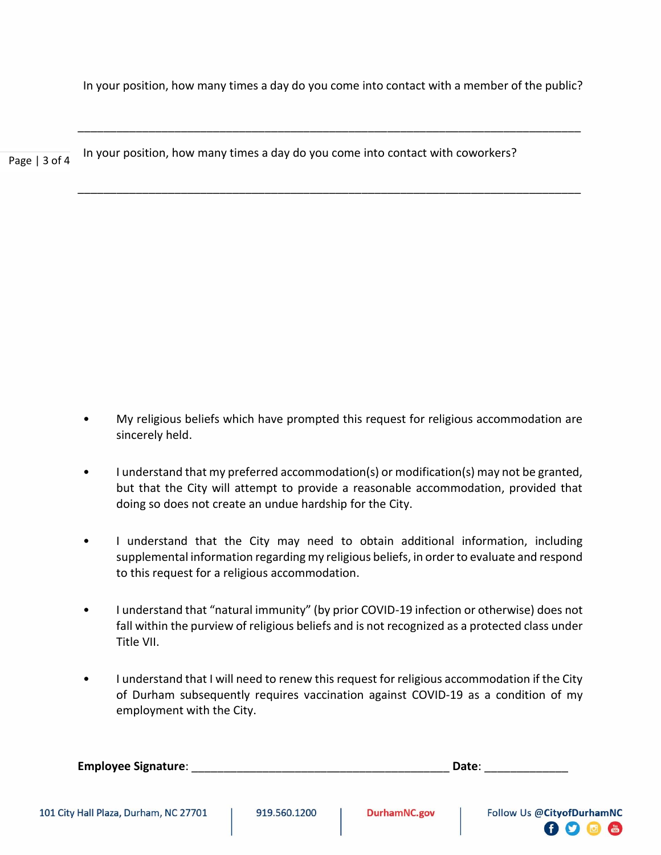In your position, how many times a day do you come into contact with a member of the public?

\_\_\_\_\_\_\_\_\_\_\_\_\_\_\_\_\_\_\_\_\_\_\_\_\_\_\_\_\_\_\_\_\_\_\_\_\_\_\_\_\_\_\_\_\_\_\_\_\_\_\_\_\_\_\_\_\_\_\_\_\_\_\_\_\_\_\_\_\_\_\_\_\_\_\_\_\_\_

\_\_\_\_\_\_\_\_\_\_\_\_\_\_\_\_\_\_\_\_\_\_\_\_\_\_\_\_\_\_\_\_\_\_\_\_\_\_\_\_\_\_\_\_\_\_\_\_\_\_\_\_\_\_\_\_\_\_\_\_\_\_\_\_\_\_\_\_\_\_\_\_\_\_\_\_\_\_

Page | 3 of 4 In your position, how many times a day do you come into contact with coworkers?

- My religious beliefs which have prompted this request for religious accommodation are sincerely held.
	- I understand that my preferred accommodation(s) or modification(s) may not be granted, but that the City will attempt to provide a reasonable accommodation, provided that doing so does not create an undue hardship for the City.
	- I understand that the City may need to obtain additional information, including supplemental information regarding my religious beliefs, in order to evaluate and respond to this request for a religious accommodation.
	- I understand that "natural immunity" (by prior COVID-19 infection or otherwise) does not fall within the purview of religious beliefs and is not recognized as a protected class under Title VII.
	- I understand that I will need to renew this request for religious accommodation if the City of Durham subsequently requires vaccination against COVID-19 as a condition of my employment with the City.

| <b>Employee Signature:</b> | Date: |
|----------------------------|-------|
|                            |       |
|                            |       |